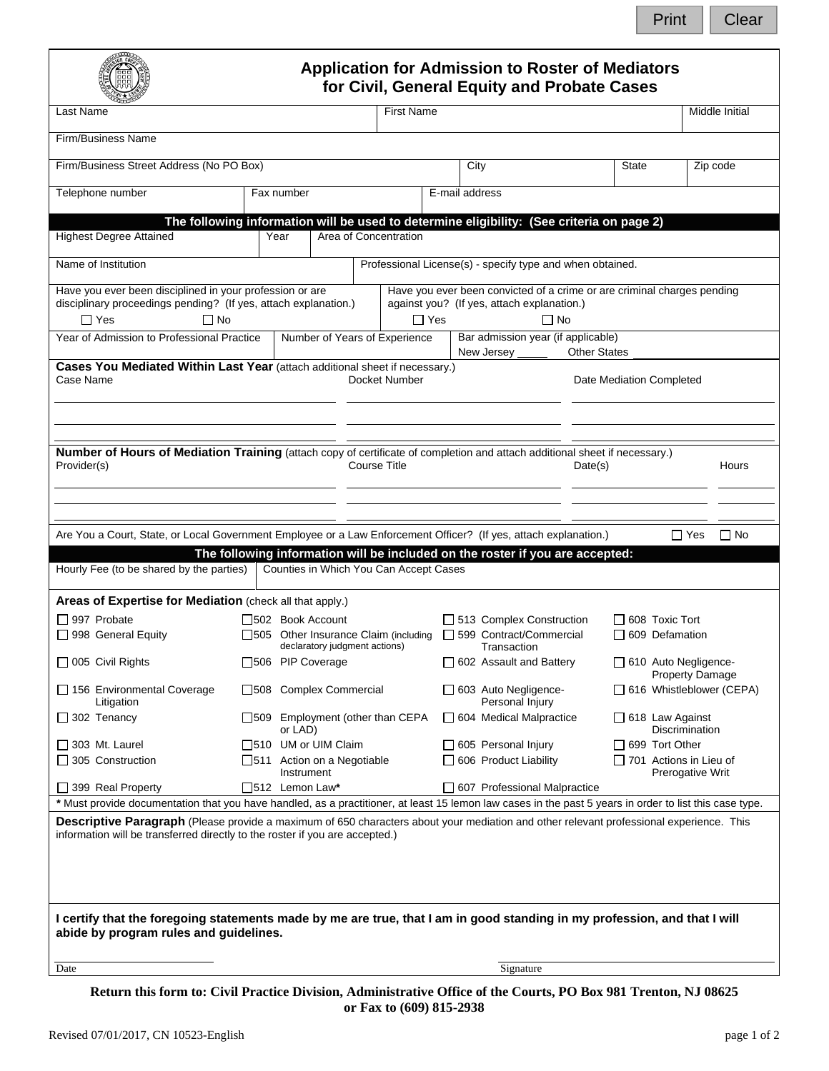Print | Clear

|                                                                                                                                                                                                                                                                                                                                                                                                                                                                                                                                                                                                                                                                                                                                                                                                                                                                                    |                   | <b>Application for Admission to Roster of Mediators</b>                                                                 | for Civil, General Equity and Probate Cases                                                                                        |                                                 |                                                |                                                    |
|------------------------------------------------------------------------------------------------------------------------------------------------------------------------------------------------------------------------------------------------------------------------------------------------------------------------------------------------------------------------------------------------------------------------------------------------------------------------------------------------------------------------------------------------------------------------------------------------------------------------------------------------------------------------------------------------------------------------------------------------------------------------------------------------------------------------------------------------------------------------------------|-------------------|-------------------------------------------------------------------------------------------------------------------------|------------------------------------------------------------------------------------------------------------------------------------|-------------------------------------------------|------------------------------------------------|----------------------------------------------------|
| Last Name                                                                                                                                                                                                                                                                                                                                                                                                                                                                                                                                                                                                                                                                                                                                                                                                                                                                          | <b>First Name</b> |                                                                                                                         |                                                                                                                                    |                                                 |                                                | Middle Initial                                     |
| Firm/Business Name                                                                                                                                                                                                                                                                                                                                                                                                                                                                                                                                                                                                                                                                                                                                                                                                                                                                 |                   |                                                                                                                         |                                                                                                                                    |                                                 |                                                |                                                    |
| Firm/Business Street Address (No PO Box)                                                                                                                                                                                                                                                                                                                                                                                                                                                                                                                                                                                                                                                                                                                                                                                                                                           |                   |                                                                                                                         | City                                                                                                                               |                                                 | State                                          | Zip code                                           |
| Telephone number                                                                                                                                                                                                                                                                                                                                                                                                                                                                                                                                                                                                                                                                                                                                                                                                                                                                   | Fax number        |                                                                                                                         | E-mail address                                                                                                                     |                                                 |                                                |                                                    |
|                                                                                                                                                                                                                                                                                                                                                                                                                                                                                                                                                                                                                                                                                                                                                                                                                                                                                    |                   | The following information will be used to determine eligibility: (See criteria on page 2)                               |                                                                                                                                    |                                                 |                                                |                                                    |
| <b>Highest Degree Attained</b>                                                                                                                                                                                                                                                                                                                                                                                                                                                                                                                                                                                                                                                                                                                                                                                                                                                     |                   | Area of Concentration<br>Year                                                                                           |                                                                                                                                    |                                                 |                                                |                                                    |
| Name of Institution                                                                                                                                                                                                                                                                                                                                                                                                                                                                                                                                                                                                                                                                                                                                                                                                                                                                |                   |                                                                                                                         | Professional License(s) - specify type and when obtained.                                                                          |                                                 |                                                |                                                    |
| Have you ever been disciplined in your profession or are<br>disciplinary proceedings pending? (If yes, attach explanation.)<br>$\Box$ Yes<br>∏ No                                                                                                                                                                                                                                                                                                                                                                                                                                                                                                                                                                                                                                                                                                                                  |                   | $\Box$ Yes                                                                                                              | Have you ever been convicted of a crime or are criminal charges pending<br>against you? (If yes, attach explanation.)<br>$\Box$ No |                                                 |                                                |                                                    |
| Year of Admission to Professional Practice                                                                                                                                                                                                                                                                                                                                                                                                                                                                                                                                                                                                                                                                                                                                                                                                                                         |                   | Number of Years of Experience                                                                                           | Bar admission year (if applicable)                                                                                                 |                                                 |                                                |                                                    |
| Cases You Mediated Within Last Year (attach additional sheet if necessary.)<br>Case Name<br>Docket Number                                                                                                                                                                                                                                                                                                                                                                                                                                                                                                                                                                                                                                                                                                                                                                          |                   |                                                                                                                         | New Jersey                                                                                                                         | <b>Other States</b><br>Date Mediation Completed |                                                |                                                    |
| Number of Hours of Mediation Training (attach copy of certificate of completion and attach additional sheet if necessary.)<br>Provider(s)                                                                                                                                                                                                                                                                                                                                                                                                                                                                                                                                                                                                                                                                                                                                          |                   | <b>Course Title</b>                                                                                                     |                                                                                                                                    | Date(s)                                         |                                                | Hours                                              |
|                                                                                                                                                                                                                                                                                                                                                                                                                                                                                                                                                                                                                                                                                                                                                                                                                                                                                    |                   |                                                                                                                         |                                                                                                                                    |                                                 |                                                |                                                    |
|                                                                                                                                                                                                                                                                                                                                                                                                                                                                                                                                                                                                                                                                                                                                                                                                                                                                                    |                   | The following information will be included on the roster if you are accepted:<br>Counties in Which You Can Accept Cases |                                                                                                                                    |                                                 |                                                | $\Box$ Yes<br>$\Box$ No                            |
|                                                                                                                                                                                                                                                                                                                                                                                                                                                                                                                                                                                                                                                                                                                                                                                                                                                                                    |                   |                                                                                                                         |                                                                                                                                    |                                                 |                                                |                                                    |
| □ 997 Probate                                                                                                                                                                                                                                                                                                                                                                                                                                                                                                                                                                                                                                                                                                                                                                                                                                                                      |                   | □502 Book Account<br>□505 Other Insurance Claim (including □ 599 Contract/Commercial                                    | $\Box$ 513 Complex Construction                                                                                                    |                                                 | $\Box$ 608 Toxic Tort<br>$\Box$ 609 Defamation |                                                    |
|                                                                                                                                                                                                                                                                                                                                                                                                                                                                                                                                                                                                                                                                                                                                                                                                                                                                                    |                   | declaratory judgment actions)<br>□506 PIP Coverage                                                                      | Transaction<br>$\Box$ 602 Assault and Battery                                                                                      |                                                 |                                                | $\Box$ 610 Auto Negligence-                        |
| Litigation                                                                                                                                                                                                                                                                                                                                                                                                                                                                                                                                                                                                                                                                                                                                                                                                                                                                         |                   | □508 Complex Commercial                                                                                                 | $\Box$ 603 Auto Negligence-<br>Personal Injury                                                                                     |                                                 |                                                | <b>Property Damage</b><br>616 Whistleblower (CEPA) |
|                                                                                                                                                                                                                                                                                                                                                                                                                                                                                                                                                                                                                                                                                                                                                                                                                                                                                    |                   | □509 Employment (other than CEPA<br>or LAD)                                                                             | 604 Medical Malpractice                                                                                                            |                                                 |                                                | $\Box$ 618 Law Against<br>Discrimination           |
| $\Box$ 156 Environmental Coverage<br>$\Box$ 305 Construction                                                                                                                                                                                                                                                                                                                                                                                                                                                                                                                                                                                                                                                                                                                                                                                                                       |                   | □510 UM or UIM Claim<br>□511 Action on a Negotiable<br>Instrument                                                       | □ 605 Personal Injury<br>$\Box$ 606 Product Liability                                                                              |                                                 | $\Box$ 699 Tort Other                          | 701 Actions in Lieu of<br>Prerogative Writ         |
|                                                                                                                                                                                                                                                                                                                                                                                                                                                                                                                                                                                                                                                                                                                                                                                                                                                                                    |                   | $\Box$ 512 Lemon Law*                                                                                                   | $\Box$ 607 Professional Malpractice                                                                                                |                                                 |                                                |                                                    |
| $\Box$ 399 Real Property                                                                                                                                                                                                                                                                                                                                                                                                                                                                                                                                                                                                                                                                                                                                                                                                                                                           |                   |                                                                                                                         |                                                                                                                                    |                                                 |                                                |                                                    |
| Are You a Court, State, or Local Government Employee or a Law Enforcement Officer? (If yes, attach explanation.)<br>Hourly Fee (to be shared by the parties)<br>Areas of Expertise for Mediation (check all that apply.)<br>□ 998 General Equity<br>□ 005 Civil Rights<br>$\Box$ 302 Tenancy<br>$\Box$ 303 Mt. Laurel<br>* Must provide documentation that you have handled, as a practitioner, at least 15 lemon law cases in the past 5 years in order to list this case type.<br>Descriptive Paragraph (Please provide a maximum of 650 characters about your mediation and other relevant professional experience. This<br>information will be transferred directly to the roster if you are accepted.)<br>I certify that the foregoing statements made by me are true, that I am in good standing in my profession, and that I will<br>abide by program rules and guidelines. |                   |                                                                                                                         |                                                                                                                                    |                                                 |                                                |                                                    |

**Return this form to: Civil Practice Division, Administrative Office of the Courts, PO Box 981 Trenton, NJ 08625 or Fax to (609) 815-2938**